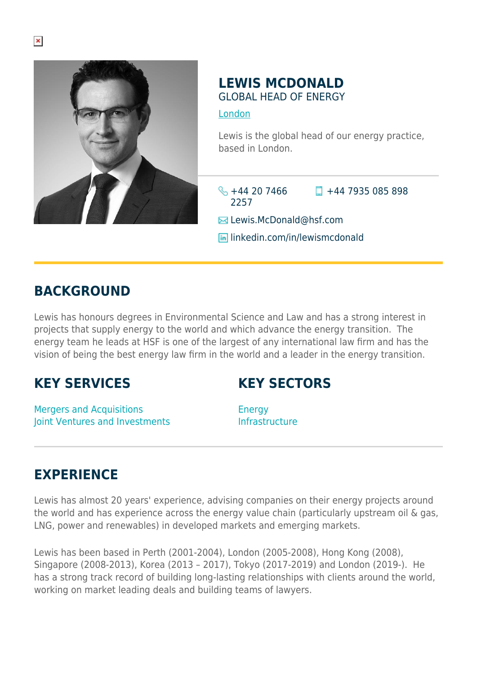

## **LEWIS MCDONALD** GLOBAL HEAD OF ENERGY

[London](https://www.herbertsmithfreehills.com/where-we-work/london)

Lewis is the global head of our energy practice, based in London.

 $\frac{1}{2}$  +44 20 7466 2257  $\Box$  +44 7935 085 898

**E**Lewis.McDonald@hsf.com

**lin** linkedin.com/in/lewismcdonald

## **BACKGROUND**

Lewis has honours degrees in Environmental Science and Law and has a strong interest in projects that supply energy to the world and which advance the energy transition. The energy team he leads at HSF is one of the largest of any international law firm and has the vision of being the best energy law firm in the world and a leader in the energy transition.

## **KEY SERVICES**

**KEY SECTORS**

Mergers and Acquisitions Joint Ventures and Investments

**Energy** Infrastructure

## **EXPERIENCE**

Lewis has almost 20 years' experience, advising companies on their energy projects around the world and has experience across the energy value chain (particularly upstream oil & gas, LNG, power and renewables) in developed markets and emerging markets.

Lewis has been based in Perth (2001-2004), London (2005-2008), Hong Kong (2008), Singapore (2008-2013), Korea (2013 – 2017), Tokyo (2017-2019) and London (2019-). He has a strong track record of building long-lasting relationships with clients around the world, working on market leading deals and building teams of lawyers.